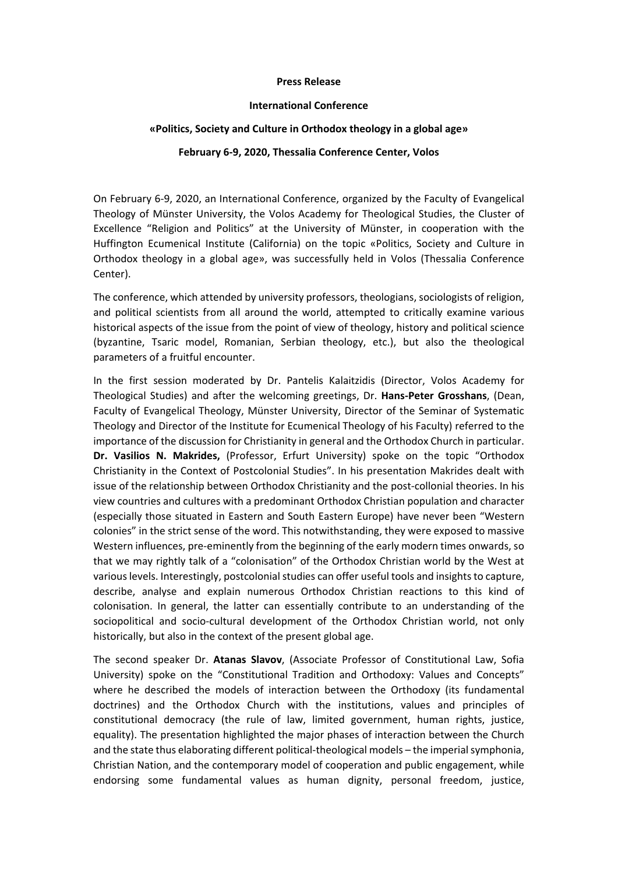## **Press Release**

## **International Conference**

## **«Politics, Society and Culture in Orthodox theology in a global age»**

## **February 6‐9, 2020, Thessalia Conference Center, Volos**

On February 6‐9, 2020, an International Conference, organized by the Faculty of Evangelical Theology of Münster University, the Volos Academy for Theological Studies, the Cluster of Excellence "Religion and Politics" at the University of Münster, in cooperation with the Huffington Ecumenical Institute (California) on the topic «Politics, Society and Culture in Orthodox theology in a global age», was successfully held in Volos (Thessalia Conference Center).

The conference, which attended by university professors, theologians, sociologists of religion, and political scientists from all around the world, attempted to critically examine various historical aspects of the issue from the point of view of theology, history and political science (byzantine, Tsaric model, Romanian, Serbian theology, etc.), but also the theological parameters of a fruitful encounter.

In the first session moderated by Dr. Pantelis Kalaitzidis (Director, Volos Academy for Theological Studies) and after the welcoming greetings, Dr. **Hans‐Peter Grosshans**, (Dean, Faculty of Evangelical Theology, Münster University, Director of the Seminar of Systematic Theology and Director of the Institute for Ecumenical Theology of his Faculty) referred to the importance of the discussion for Christianity in general and the Orthodox Church in particular. **Dr. Vasilios N. Makrides,**  (Professor, Erfurt University) spoke on the topic "Orthodox Christianity in the Context of Postcolonial Studies". In his presentation Makrides dealt with issue of the relationship between Orthodox Christianity and the post-collonial theories. In his view countries and cultures with a predominant Orthodox Christian population and character (especially those situated in Eastern and South Eastern Europe) have never been "Western colonies" in the strict sense of the word. This notwithstanding, they were exposed to massive Western influences, pre-eminently from the beginning of the early modern times onwards, so that we may rightly talk of a "colonisation" of the Orthodox Christian world by the West at various levels. Interestingly, postcolonial studies can offer useful tools and insights to capture, describe, analyse and explain numerous Orthodox Christian reactions to this kind of colonisation. In general, the latter can essentially contribute to an understanding of the sociopolitical and socio-cultural development of the Orthodox Christian world, not only historically, but also in the context of the present global age.

The second speaker Dr. **Atanas Slavov**, (Associate Professor of Constitutional Law, Sofia University) spoke on the "Constitutional Tradition and Orthodoxy: Values and Concepts" where he described the models of interaction between the Orthodoxy (its fundamental doctrines) and the Orthodox Church with the institutions, values and principles of constitutional democracy (the rule of law, limited government, human rights, justice, equality). The presentation highlighted the major phases of interaction between the Church and the state thus elaborating different political-theological models – the imperial symphonia, Christian Nation, and the contemporary model of cooperation and public engagement, while endorsing some fundamental values as human dignity, personal freedom, justice,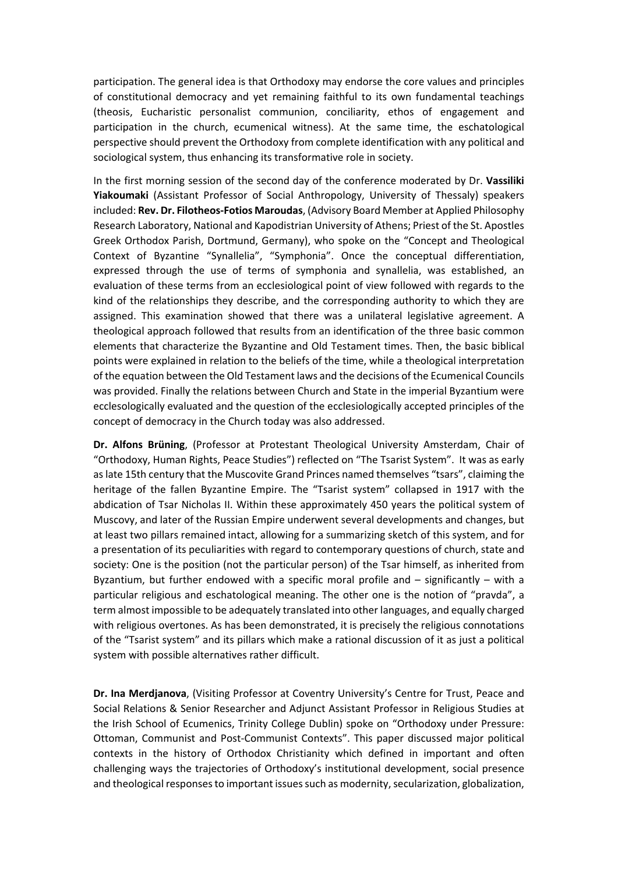participation. The general idea is that Orthodoxy may endorse the core values and principles of constitutional democracy and yet remaining faithful to its own fundamental teachings (theosis, Eucharistic personalist communion, conciliarity, ethos of engagement and participation in the church, ecumenical witness). At the same time, the eschatological perspective should prevent the Orthodoxy from complete identification with any political and sociological system, thus enhancing its transformative role in society.

In the first morning session of the second day of the conference moderated by Dr. **Vassiliki Yiakoumaki** (Assistant Professor of Social Anthropology, University of Thessaly) speakers included: **Rev. Dr. Filotheos‐Fotios Maroudas**, (Advisory Board Member at Applied Philosophy Research Laboratory, National and Kapodistrian University of Athens; Priest of the St. Apostles Greek Orthodox Parish, Dortmund, Germany), who spoke on the "Concept and Theological Context of Byzantine "Synallelia", "Symphonia". Once the conceptual differentiation, expressed through the use of terms of symphonia and synallelia, was established, an evaluation of these terms from an ecclesiological point of view followed with regards to the kind of the relationships they describe, and the corresponding authority to which they are assigned. This examination showed that there was a unilateral legislative agreement. A theological approach followed that results from an identification of the three basic common elements that characterize the Byzantine and Old Testament times. Then, the basic biblical points were explained in relation to the beliefs of the time, while a theological interpretation of the equation between the Old Testament laws and the decisions of the Ecumenical Councils was provided. Finally the relations between Church and State in the imperial Byzantium were ecclesologically evaluated and the question of the ecclesiologically accepted principles of the concept of democracy in the Church today was also addressed.

**Dr. Alfons Brüning**, (Professor at Protestant Theological University Amsterdam, Chair of "Orthodoxy, Human Rights, Peace Studies") reflected on "The Tsarist System". It was as early as late 15th century that the Muscovite Grand Princes named themselves "tsars", claiming the heritage of the fallen Byzantine Empire. The "Tsarist system" collapsed in 1917 with the abdication of Tsar Nicholas II. Within these approximately 450 years the political system of Muscovy, and later of the Russian Empire underwent several developments and changes, but at least two pillars remained intact, allowing for a summarizing sketch of this system, and for a presentation of its peculiarities with regard to contemporary questions of church, state and society: One is the position (not the particular person) of the Tsar himself, as inherited from Byzantium, but further endowed with a specific moral profile and  $-$  significantly  $-$  with a particular religious and eschatological meaning. The other one is the notion of "pravda", a term almost impossible to be adequately translated into other languages, and equally charged with religious overtones. As has been demonstrated, it is precisely the religious connotations of the "Tsarist system" and its pillars which make a rational discussion of it as just a political system with possible alternatives rather difficult.

**Dr. Ina Merdjanova**, (Visiting Professor at Coventry University's Centre for Trust, Peace and Social Relations & Senior Researcher and Adjunct Assistant Professor in Religious Studies at the Irish School of Ecumenics, Trinity College Dublin) spoke on "Orthodoxy under Pressure: Ottoman, Communist and Post‐Communist Contexts". This paper discussed major political contexts in the history of Orthodox Christianity which defined in important and often challenging ways the trajectories of Orthodoxy's institutional development, social presence and theological responses to important issues such as modernity, secularization, globalization,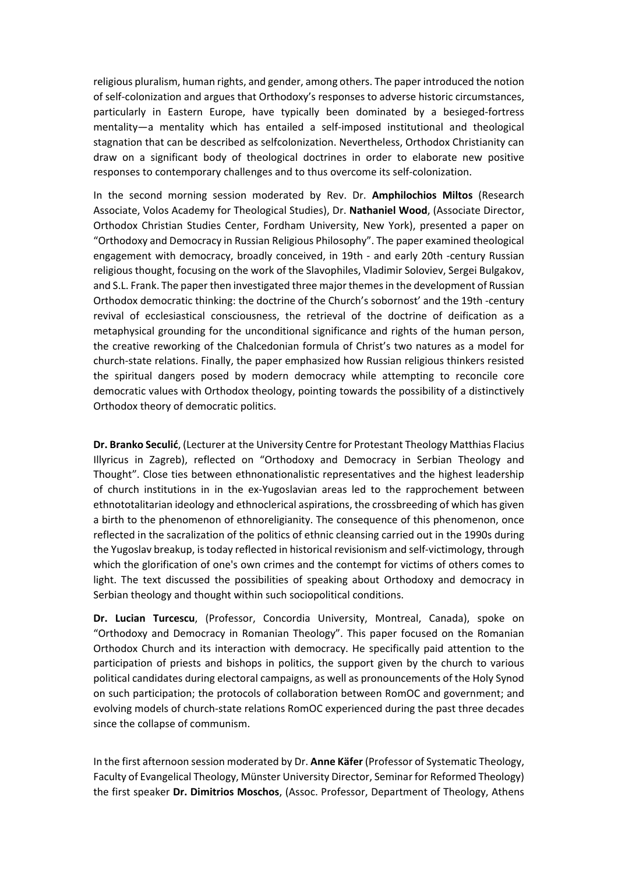religious pluralism, human rights, and gender, among others. The paper introduced the notion of self‐colonization and argues that Orthodoxy's responses to adverse historic circumstances, particularly in Eastern Europe, have typically been dominated by a besieged-fortress mentality—a mentality which has entailed a self-imposed institutional and theological stagnation that can be described as selfcolonization. Nevertheless, Orthodox Christianity can draw on a significant body of theological doctrines in order to elaborate new positive responses to contemporary challenges and to thus overcome its self‐colonization.

In the second morning session moderated by Rev. Dr. **Amphilochios Miltos** (Research Associate, Volos Academy for Theological Studies), Dr. **Nathaniel Wood**, (Associate Director, Orthodox Christian Studies Center, Fordham University, New York), presented a paper on "Orthodoxy and Democracy in Russian Religious Philosophy". The paper examined theological engagement with democracy, broadly conceived, in 19th - and early 20th -century Russian religious thought, focusing on the work of the Slavophiles, Vladimir Soloviev, Sergei Bulgakov, and S.L. Frank. The paper then investigated three major themes in the development of Russian Orthodox democratic thinking: the doctrine of the Church's sobornost' and the 19th ‐century revival of ecclesiastical consciousness, the retrieval of the doctrine of deification as a metaphysical grounding for the unconditional significance and rights of the human person, the creative reworking of the Chalcedonian formula of Christ's two natures as a model for church‐state relations. Finally, the paper emphasized how Russian religious thinkers resisted the spiritual dangers posed by modern democracy while attempting to reconcile core democratic values with Orthodox theology, pointing towards the possibility of a distinctively Orthodox theory of democratic politics.

**Dr. Branko Seculić**, (Lecturer at the University Centre for Protestant Theology Matthias Flacius Illyricus in Zagreb), reflected on "Orthodoxy and Democracy in Serbian Theology and Thought". Close ties between ethnonationalistic representatives and the highest leadership of church institutions in in the ex‐Yugoslavian areas led to the rapprochement between ethnototalitarian ideology and ethnoclerical aspirations, the crossbreeding of which has given a birth to the phenomenon of ethnoreligianity. The consequence of this phenomenon, once reflected in the sacralization of the politics of ethnic cleansing carried out in the 1990s during the Yugoslav breakup, is today reflected in historical revisionism and self‐victimology, through which the glorification of one's own crimes and the contempt for victims of others comes to light. The text discussed the possibilities of speaking about Orthodoxy and democracy in Serbian theology and thought within such sociopolitical conditions.

**Dr. Lucian Turcescu**, (Professor, Concordia University, Montreal, Canada), spoke on "Orthodoxy and Democracy in Romanian Theology". This paper focused on the Romanian Orthodox Church and its interaction with democracy. He specifically paid attention to the participation of priests and bishops in politics, the support given by the church to various political candidates during electoral campaigns, as well as pronouncements of the Holy Synod on such participation; the protocols of collaboration between RomOC and government; and evolving models of church‐state relations RomOC experienced during the past three decades since the collapse of communism.

In the first afternoon session moderated by Dr. **Anne Käfer** (Professor of Systematic Theology, Faculty of Evangelical Theology, Münster University Director, Seminar for Reformed Theology) the first speaker **Dr. Dimitrios Moschos**, (Assoc. Professor, Department of Theology, Athens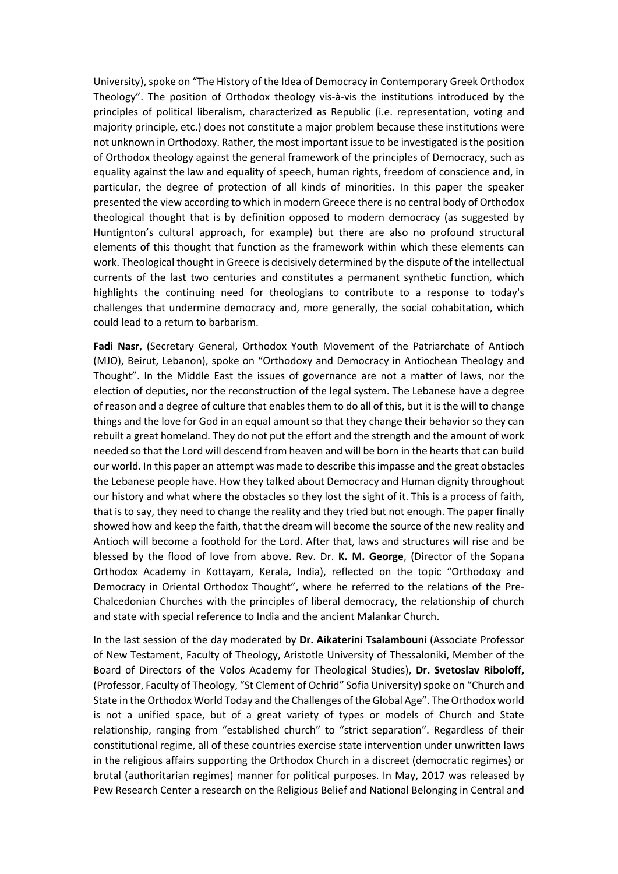University), spoke on "The History of the Idea of Democracy in Contemporary Greek Orthodox Theology". The position of Orthodox theology vis-à-vis the institutions introduced by the principles of political liberalism, characterized as Republic (i.e. representation, voting and majority principle, etc.) does not constitute a major problem because these institutions were not unknown in Orthodoxy. Rather, the most important issue to be investigated is the position of Orthodox theology against the general framework of the principles of Democracy, such as equality against the law and equality of speech, human rights, freedom of conscience and, in particular, the degree of protection of all kinds of minorities. In this paper the speaker presented the view according to which in modern Greece there is no central body of Orthodox theological thought that is by definition opposed to modern democracy (as suggested by Huntignton's cultural approach, for example) but there are also no profound structural elements of this thought that function as the framework within which these elements can work. Theological thought in Greece is decisively determined by the dispute of the intellectual currents of the last two centuries and constitutes a permanent synthetic function, which highlights the continuing need for theologians to contribute to a response to today's challenges that undermine democracy and, more generally, the social cohabitation, which could lead to a return to barbarism.

Fadi Nasr, (Secretary General, Orthodox Youth Movement of the Patriarchate of Antioch (MJO), Beirut, Lebanon), spoke on "Orthodoxy and Democracy in Antiochean Theology and Thought". In the Middle East the issues of governance are not a matter of laws, nor the election of deputies, nor the reconstruction of the legal system. The Lebanese have a degree of reason and a degree of culture that enables them to do all of this, but it is the will to change things and the love for God in an equal amount so that they change their behavior so they can rebuilt a great homeland. They do not put the effort and the strength and the amount of work needed so that the Lord will descend from heaven and will be born in the hearts that can build our world. In this paper an attempt was made to describe this impasse and the great obstacles the Lebanese people have. How they talked about Democracy and Human dignity throughout our history and what where the obstacles so they lost the sight of it. This is a process of faith, that is to say, they need to change the reality and they tried but not enough. The paper finally showed how and keep the faith, that the dream will become the source of the new reality and Antioch will become a foothold for the Lord. After that, laws and structures will rise and be blessed by the flood of love from above. Rev. Dr. **K. M. George**, (Director of the Sopana Orthodox Academy in Kottayam, Kerala, India), reflected on the topic "Orthodoxy and Democracy in Oriental Orthodox Thought", where he referred to the relations of the Pre-Chalcedonian Churches with the principles of liberal democracy, the relationship of church and state with special reference to India and the ancient Malankar Church.

In the last session of the day moderated by **Dr. Aikaterini Tsalambouni** (Associate Professor of New Testament, Faculty of Theology, Aristotle University of Thessaloniki, Member of the Board of Directors of the Volos Academy for Theological Studies), **Dr. Svetoslav Riboloff,**  (Professor, Faculty of Theology, "St Clement of Ochrid" Sofia University) spoke on "Church and State in the Orthodox World Today and the Challenges of the Global Age". The Orthodox world is not a unified space, but of a great variety of types or models of Church and State relationship, ranging from "established church" to "strict separation". Regardless of their constitutional regime, all of these countries exercise state intervention under unwritten laws in the religious affairs supporting the Orthodox Church in a discreet (democratic regimes) or brutal (authoritarian regimes) manner for political purposes. In May, 2017 was released by Pew Research Center а research on the Religious Belief and National Belonging in Central and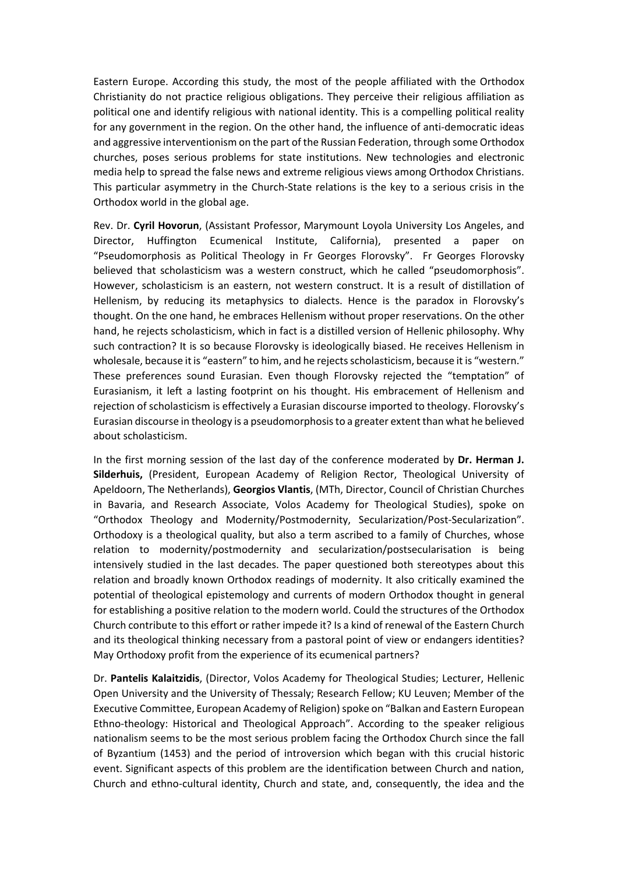Eastern Europe. According this study, the most of the people affiliated with the Orthodox Christianity do not practice religious obligations. They perceive their religious affiliation as political one and identify religious with national identity. This is a compelling political reality for any government in the region. On the other hand, the influence of anti-democratic ideas and aggressive interventionism on the part of the Russian Federation, through some Orthodox churches, poses serious problems for state institutions. New technologies and electronic media help to spread the false news and extreme religious views among Orthodox Christians. This particular asymmetry in the Church-State relations is the key to a serious crisis in the Orthodox world in the global age.

Rev. Dr. **Cyril Hovorun**, (Assistant Professor, Marymount Loyola University Los Angeles, and Director, Huffington Ecumenical Institute, California), presented a paper on "Pseudomorphosis as Political Theology in Fr Georges Florovsky". Fr Georges Florovsky believed that scholasticism was a western construct, which he called "pseudomorphosis". However, scholasticism is an eastern, not western construct. It is a result of distillation of Hellenism, by reducing its metaphysics to dialects. Hence is the paradox in Florovsky's thought. On the one hand, he embraces Hellenism without proper reservations. On the other hand, he rejects scholasticism, which in fact is a distilled version of Hellenic philosophy. Why such contraction? It is so because Florovsky is ideologically biased. He receives Hellenism in wholesale, because it is "eastern" to him, and he rejects scholasticism, because it is "western." These preferences sound Eurasian. Even though Florovsky rejected the "temptation" of Eurasianism, it left a lasting footprint on his thought. His embracement of Hellenism and rejection of scholasticism is effectively a Eurasian discourse imported to theology. Florovsky's Eurasian discourse in theology is a pseudomorphosis to a greater extent than what he believed about scholasticism.

In the first morning session of the last day of the conference moderated by **Dr. Herman J. Silderhuis,**  (President, European Academy of Religion Rector, Theological University of Apeldoorn, The Netherlands), **Georgios Vlantis**, (MTh, Director, Council of Christian Churches in Bavaria, and Research Associate, Volos Academy for Theological Studies), spoke on "Orthodox Theology and Modernity/Postmodernity, Secularization/Post‐Secularization". Orthodoxy is a theological quality, but also a term ascribed to a family of Churches, whose relation to modernity/postmodernity and secularization/postsecularisation is being intensively studied in the last decades. The paper questioned both stereotypes about this relation and broadly known Orthodox readings of modernity. It also critically examined the potential of theological epistemology and currents of modern Orthodox thought in general for establishing a positive relation to the modern world. Could the structures of the Orthodox Church contribute to this effort or rather impede it? Is a kind of renewal of the Eastern Church and its theological thinking necessary from a pastoral point of view or endangers identities? May Orthodoxy profit from the experience of its ecumenical partners?

Dr. **Pantelis Kalaitzidis**, (Director, Volos Academy for Theological Studies; Lecturer, Hellenic Open University and the University of Thessaly; Research Fellow; KU Leuven; Member of the Executive Committee, European Academy of Religion) spoke on "Balkan and Eastern European Ethno‐theology: Historical and Theological Approach". According to the speaker religious nationalism seems to be the most serious problem facing the Orthodox Church since the fall of Byzantium (1453) and the period of introversion which began with this crucial historic event. Significant aspects of this problem are the identification between Church and nation, Church and ethno‐cultural identity, Church and state, and, consequently, the idea and the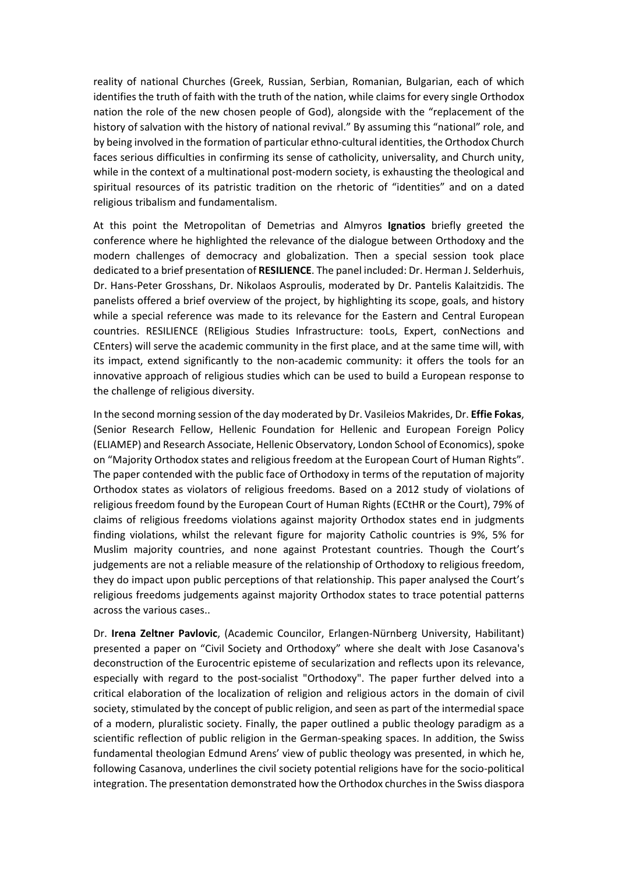reality of national Churches (Greek, Russian, Serbian, Romanian, Bulgarian, each of which identifies the truth of faith with the truth of the nation, while claims for every single Orthodox nation the role of the new chosen people of God), alongside with the "replacement of the history of salvation with the history of national revival." By assuming this "national" role, and by being involved in the formation of particular ethno‐cultural identities, the Orthodox Church faces serious difficulties in confirming its sense of catholicity, universality, and Church unity, while in the context of a multinational post-modern society, is exhausting the theological and spiritual resources of its patristic tradition on the rhetoric of "identities" and on a dated religious tribalism and fundamentalism.

At this point the Metropolitan of Demetrias and Almyros **Ignatios** briefly greeted the conference where he highlighted the relevance of the dialogue between Orthodoxy and the modern challenges of democracy and globalization. Then a special session took place dedicated to a brief presentation of **RESILIENCE**. The panel included: Dr. Herman J. Selderhuis, Dr. Hans‐Peter Grosshans, Dr. Nikolaos Asproulis, moderated by Dr. Pantelis Kalaitzidis. The panelists offered a brief overview of the project, by highlighting its scope, goals, and history while a special reference was made to its relevance for the Eastern and Central European countries. RESILIENCE (REligious Studies Infrastructure: tooLs, Expert, conNections and CEnters) will serve the academic community in the first place, and at the same time will, with its impact, extend significantly to the non-academic community: it offers the tools for an innovative approach of religious studies which can be used to build a European response to the challenge of religious diversity.

In the second morning session of the day moderated by Dr. Vasileios Makrides, Dr. **Effie Fokas**, (Senior Research Fellow, Hellenic Foundation for Hellenic and European Foreign Policy (ELIAMEP) and Research Associate, Hellenic Observatory, London School of Economics), spoke on "Majority Orthodox states and religious freedom at the European Court of Human Rights". The paper contended with the public face of Orthodoxy in terms of the reputation of majority Orthodox states as violators of religious freedoms. Based on a 2012 study of violations of religious freedom found by the European Court of Human Rights (ECtHR or the Court), 79% of claims of religious freedoms violations against majority Orthodox states end in judgments finding violations, whilst the relevant figure for majority Catholic countries is 9%, 5% for Muslim majority countries, and none against Protestant countries. Though the Court's judgements are not a reliable measure of the relationship of Orthodoxy to religious freedom, they do impact upon public perceptions of that relationship. This paper analysed the Court's religious freedoms judgements against majority Orthodox states to trace potential patterns across the various cases..

Dr. **Irena Zeltner Pavlovic**, (Academic Councilor, Erlangen‐Nürnberg University, Habilitant) presented a paper on "Civil Society and Orthodoxy" where she dealt with Jose Casanova's deconstruction of the Eurocentric episteme of secularization and reflects upon its relevance, especially with regard to the post-socialist "Orthodoxy". The paper further delved into a critical elaboration of the localization of religion and religious actors in the domain of civil society, stimulated by the concept of public religion, and seen as part of the intermedial space of a modern, pluralistic society. Finally, the paper outlined a public theology paradigm as a scientific reflection of public religion in the German-speaking spaces. In addition, the Swiss fundamental theologian Edmund Arens' view of public theology was presented, in which he, following Casanova, underlines the civil society potential religions have for the socio‐political integration. The presentation demonstrated how the Orthodox churches in the Swiss diaspora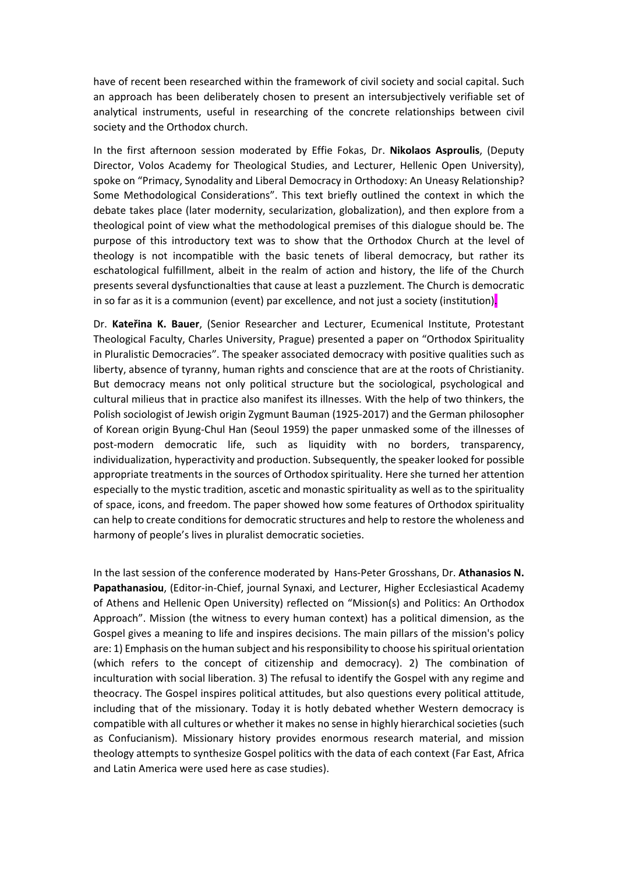have of recent been researched within the framework of civil society and social capital. Such an approach has been deliberately chosen to present an intersubjectively verifiable set of analytical instruments, useful in researching of the concrete relationships between civil society and the Orthodox church.

In the first afternoon session moderated by Effie Fokas, Dr. **Nikolaos Asproulis**, (Deputy Director, Volos Academy for Theological Studies, and Lecturer, Hellenic Open University), spoke on "Primacy, Synodality and Liberal Democracy in Orthodoxy: An Uneasy Relationship? Some Methodological Considerations". This text briefly outlined the context in which the debate takes place (later modernity, secularization, globalization), and then explore from a theological point of view what the methodological premises of this dialogue should be. The purpose of this introductory text was to show that the Orthodox Church at the level of theology is not incompatible with the basic tenets of liberal democracy, but rather its eschatological fulfillment, albeit in the realm of action and history, the life of the Church presents several dysfunctionalties that cause at least a puzzlement. The Church is democratic in so far as it is a communion (event) par excellence, and not just a society (institution).

Dr. **Kateřina K. Bauer**, (Senior Researcher and Lecturer, Ecumenical Institute, Protestant Theological Faculty, Charles University, Prague) presented a paper on "Orthodox Spirituality in Pluralistic Democracies". The speaker associated democracy with positive qualities such as liberty, absence of tyranny, human rights and conscience that are at the roots of Christianity. But democracy means not only political structure but the sociological, psychological and cultural milieus that in practice also manifest its illnesses. With the help of two thinkers, the Polish sociologist of Jewish origin Zygmunt Bauman (1925‐2017) and the German philosopher of Korean origin Byung‐Chul Han (Seoul 1959) the paper unmasked some of the illnesses of post-modern democratic life, such as liquidity with no borders, transparency, individualization, hyperactivity and production. Subsequently, the speaker looked for possible appropriate treatments in the sources of Orthodox spirituality. Here she turned her attention especially to the mystic tradition, ascetic and monastic spirituality as well as to the spirituality of space, icons, and freedom. The paper showed how some features of Orthodox spirituality can help to create conditions for democratic structures and help to restore the wholeness and harmony of people's lives in pluralist democratic societies.

In the last session of the conference moderated by Hans‐Peter Grosshans, Dr. **Athanasios N. Papathanasiou**, (Editor‐in‐Chief, journal Synaxi, and Lecturer, Higher Ecclesiastical Academy of Athens and Hellenic Open University) reflected on "Μission(s) and Politics: An Orthodox Approach". Mission (the witness to every human context) has a political dimension, as the Gospel gives a meaning to life and inspires decisions. The main pillars of the mission's policy are: 1) Emphasis on the human subject and his responsibility to choose his spiritual orientation (which refers to the concept of citizenship and democracy). 2) The combination of inculturation with social liberation. 3) The refusal to identify the Gospel with any regime and theocracy. The Gospel inspires political attitudes, but also questions every political attitude, including that of the missionary. Today it is hotly debated whether Western democracy is compatible with all cultures or whether it makes no sense in highly hierarchical societies (such as Confucianism). Missionary history provides enormous research material, and mission theology attempts to synthesize Gospel politics with the data of each context (Far East, Africa and Latin America were used here as case studies).